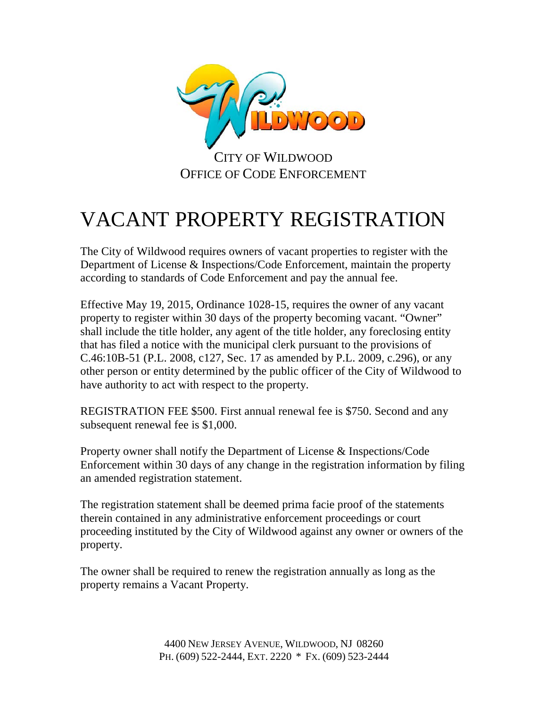

CITY OF WILDWOOD OFFICE OF CODE ENFORCEMENT

## VACANT PROPERTY REGISTRATION

The City of Wildwood requires owners of vacant properties to register with the Department of License & Inspections/Code Enforcement, maintain the property according to standards of Code Enforcement and pay the annual fee.

Effective May 19, 2015, Ordinance 1028-15, requires the owner of any vacant property to register within 30 days of the property becoming vacant. "Owner" shall include the title holder, any agent of the title holder, any foreclosing entity that has filed a notice with the municipal clerk pursuant to the provisions of C.46:10B-51 (P.L. 2008, c127, Sec. 17 as amended by P.L. 2009, c.296), or any other person or entity determined by the public officer of the City of Wildwood to have authority to act with respect to the property.

REGISTRATION FEE \$500. First annual renewal fee is \$750. Second and any subsequent renewal fee is \$1,000.

Property owner shall notify the Department of License & Inspections/Code Enforcement within 30 days of any change in the registration information by filing an amended registration statement.

The registration statement shall be deemed prima facie proof of the statements therein contained in any administrative enforcement proceedings or court proceeding instituted by the City of Wildwood against any owner or owners of the property.

The owner shall be required to renew the registration annually as long as the property remains a Vacant Property.

> 4400 NEW JERSEY AVENUE, WILDWOOD, NJ 08260 PH. (609) 522-2444, EXT. 2220 \* FX. (609) 523-2444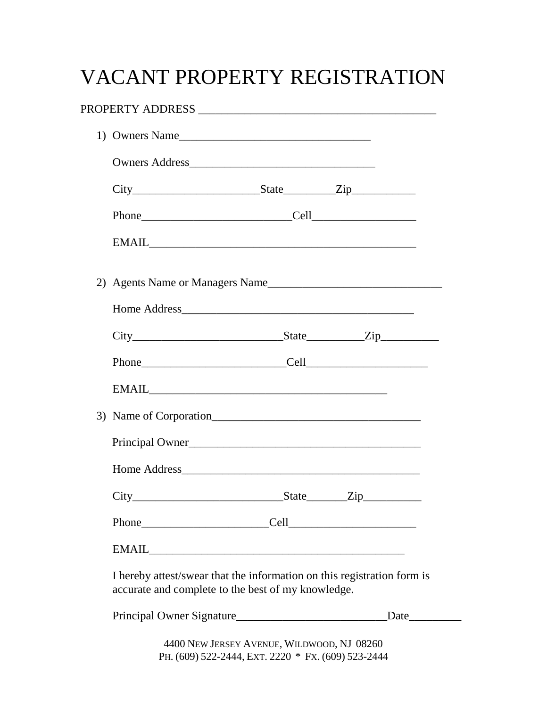# VACANT PROPERTY REGISTRATION

| 1) Owners Name                                                                                                                |  |      |  |
|-------------------------------------------------------------------------------------------------------------------------------|--|------|--|
|                                                                                                                               |  |      |  |
| $City$ $City$ $State$ $Zip$                                                                                                   |  |      |  |
|                                                                                                                               |  |      |  |
|                                                                                                                               |  |      |  |
| 2) Agents Name or Managers Name                                                                                               |  |      |  |
|                                                                                                                               |  |      |  |
|                                                                                                                               |  |      |  |
|                                                                                                                               |  |      |  |
| 3) Name of Corporation                                                                                                        |  |      |  |
| Principal Owner                                                                                                               |  |      |  |
|                                                                                                                               |  |      |  |
| City State Zip                                                                                                                |  |      |  |
|                                                                                                                               |  |      |  |
|                                                                                                                               |  |      |  |
| I hereby attest/swear that the information on this registration form is<br>accurate and complete to the best of my knowledge. |  |      |  |
|                                                                                                                               |  | Date |  |
| 4400 NEW JERSEY AVENUE, WILDWOOD, NJ 08260<br>PH. (609) 522-2444, EXT. 2220 * FX. (609) 523-2444                              |  |      |  |